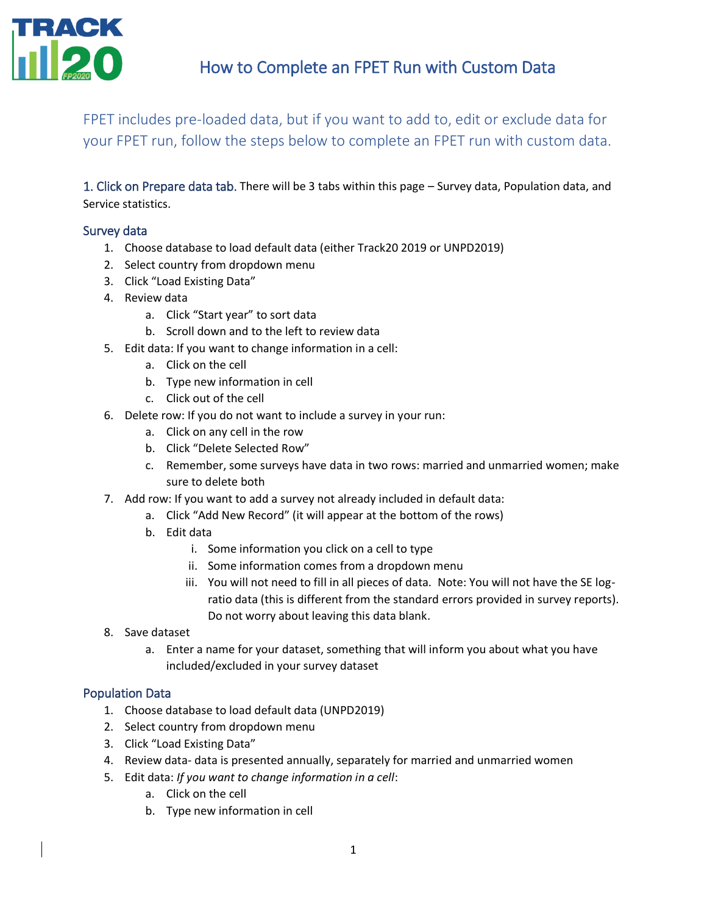

FPET includes pre-loaded data, but if you want to add to, edit or exclude data for your FPET run, follow the steps below to complete an FPET run with custom data.

1. Click on Prepare data tab. There will be 3 tabs within this page – Survey data, Population data, and Service statistics.

#### Survey data

- 1. Choose database to load default data (either Track20 2019 or UNPD2019)
- 2. Select country from dropdown menu
- 3. Click "Load Existing Data"
- 4. Review data
	- a. Click "Start year" to sort data
	- b. Scroll down and to the left to review data
- 5. Edit data: If you want to change information in a cell:
	- a. Click on the cell
	- b. Type new information in cell
	- c. Click out of the cell
- 6. Delete row: If you do not want to include a survey in your run:
	- a. Click on any cell in the row
	- b. Click "Delete Selected Row"
	- c. Remember, some surveys have data in two rows: married and unmarried women; make sure to delete both
- 7. Add row: If you want to add a survey not already included in default data:
	- a. Click "Add New Record" (it will appear at the bottom of the rows)
	- b. Edit data
		- i. Some information you click on a cell to type
		- ii. Some information comes from a dropdown menu
		- iii. You will not need to fill in all pieces of data. Note: You will not have the SE logratio data (this is different from the standard errors provided in survey reports). Do not worry about leaving this data blank.
- 8. Save dataset
	- a. Enter a name for your dataset, something that will inform you about what you have included/excluded in your survey dataset

### Population Data

- 1. Choose database to load default data (UNPD2019)
- 2. Select country from dropdown menu
- 3. Click "Load Existing Data"
- 4. Review data- data is presented annually, separately for married and unmarried women
- 5. Edit data: *If you want to change information in a cell*:
	- a. Click on the cell
	- b. Type new information in cell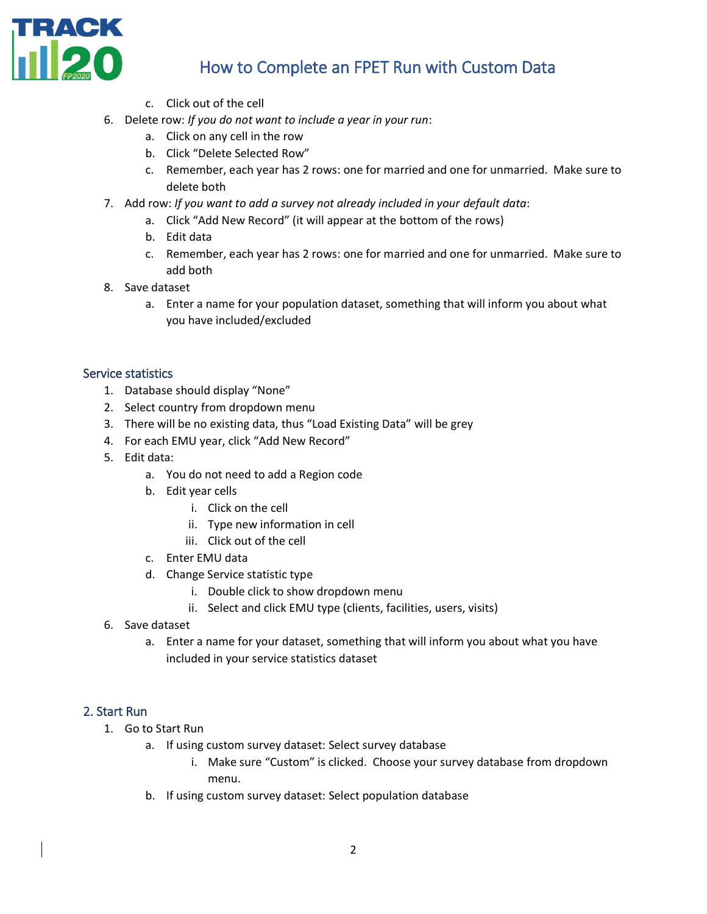

# How to Complete an FPET Run with Custom Data

- c. Click out of the cell
- 6. Delete row: *If you do not want to include a year in your run*:
	- a. Click on any cell in the row
	- b. Click "Delete Selected Row"
	- c. Remember, each year has 2 rows: one for married and one for unmarried. Make sure to delete both
- 7. Add row: *If you want to add a survey not already included in your default data*:
	- a. Click "Add New Record" (it will appear at the bottom of the rows)
	- b. Edit data
	- c. Remember, each year has 2 rows: one for married and one for unmarried. Make sure to add both
- 8. Save dataset
	- a. Enter a name for your population dataset, something that will inform you about what you have included/excluded

#### Service statistics

- 1. Database should display "None"
- 2. Select country from dropdown menu
- 3. There will be no existing data, thus "Load Existing Data" will be grey
- 4. For each EMU year, click "Add New Record"
- 5. Edit data:
	- a. You do not need to add a Region code
	- b. Edit year cells
		- i. Click on the cell
		- ii. Type new information in cell
		- iii. Click out of the cell
	- c. Enter EMU data
	- d. Change Service statistic type
		- i. Double click to show dropdown menu
		- ii. Select and click EMU type (clients, facilities, users, visits)
- 6. Save dataset
	- a. Enter a name for your dataset, something that will inform you about what you have included in your service statistics dataset

#### 2. Start Run

- 1. Go to Start Run
	- a. If using custom survey dataset: Select survey database
		- i. Make sure "Custom" is clicked. Choose your survey database from dropdown menu.
	- b. If using custom survey dataset: Select population database